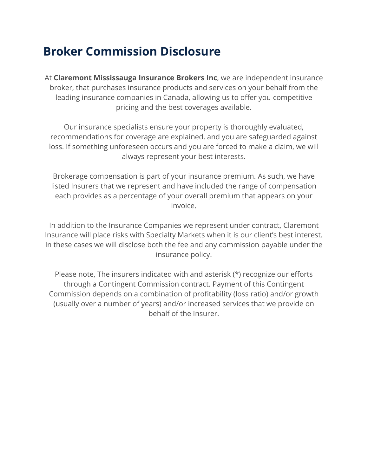## **Broker Commission Disclosure**

At **Claremont Mississauga Insurance Brokers Inc**, we are independent insurance broker, that purchases insurance products and services on your behalf from the leading insurance companies in Canada, allowing us to offer you competitive pricing and the best coverages available.

Our insurance specialists ensure your property is thoroughly evaluated, recommendations for coverage are explained, and you are safeguarded against loss. If something unforeseen occurs and you are forced to make a claim, we will always represent your best interests.

Brokerage compensation is part of your insurance premium. As such, we have listed Insurers that we represent and have included the range of compensation each provides as a percentage of your overall premium that appears on your invoice.

In addition to the Insurance Companies we represent under contract, Claremont Insurance will place risks with Specialty Markets when it is our client's best interest. In these cases we will disclose both the fee and any commission payable under the insurance policy.

Please note, The insurers indicated with and asterisk (\*) recognize our efforts through a Contingent Commission contract. Payment of this Contingent Commission depends on a combination of profitability (loss ratio) and/or growth (usually over a number of years) and/or increased services that we provide on behalf of the Insurer.